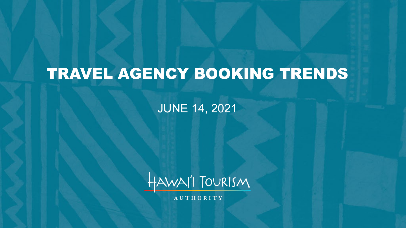# TRAVEL AGENCY BOOKING TRENDS

JUNE 14, 2021



**AUTHORITY**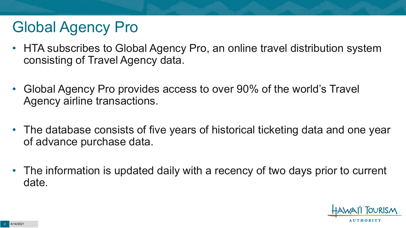# Global Agency Pro

- HTA subscribes to Global Agency Pro, an online travel distribution system consisting of Travel Agency data.
- Global Agency Pro provides access to over 90% of the world's Travel Agency airline transactions.
- The database consists of five years of historical ticketing data and one year of advance purchase data.
- The information is updated daily with a recency of two days prior to current date.

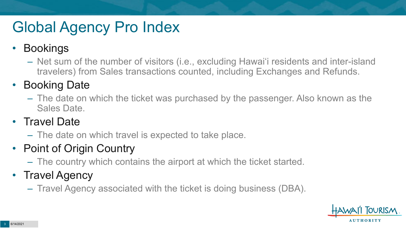# Global Agency Pro Index

#### • Bookings

– Net sum of the number of visitors (i.e., excluding Hawai'i residents and inter-island travelers) from Sales transactions counted, including Exchanges and Refunds.

#### • Booking Date

– The date on which the ticket was purchased by the passenger. Also known as the Sales Date.

#### • Travel Date

– The date on which travel is expected to take place.

#### • Point of Origin Country

– The country which contains the airport at which the ticket started.

#### • Travel Agency

– Travel Agency associated with the ticket is doing business (DBA).

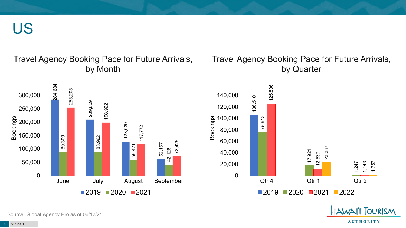US

#### Travel Agency Booking Pace for Future Arrivals, by Month



#### Travel Agency Booking Pace for Future Arrivals, by Quarter



OURISM.

**AUTHORITY** 

Source: Global Agency Pro as of 06/12/21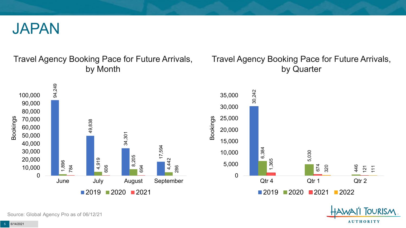

#### Travel Agency Booking Pace for Future Arrivals, by Month

#### Travel Agency Booking Pace for Future Arrivals, by Quarter



Source: Global Agency Pro as of 06/12/21

5 6/14/2021

**AUTHORITY** 

**OURISM**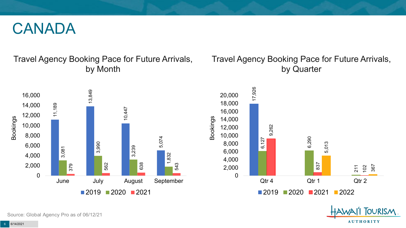#### CANADA

#### Travel Agency Booking Pace for Future Arrivals, by Month

#### Travel Agency Booking Pace for Future Arrivals, by Quarter



**FOURISM AUTHORITY** 

211

102

367

Source: Global Agency Pro as of 06/12/21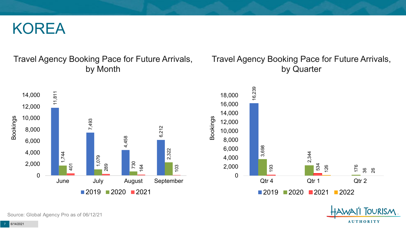#### KOREA

#### Travel Agency Booking Pace for Future Arrivals, by Month



#### Travel Agency Booking Pace for Future Arrivals, by Quarter



OURISM.

**AUTHORITY** 

Source: Global Agency Pro as of 06/12/21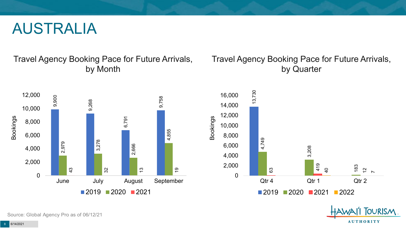#### AUSTRALIA

Travel Agency Booking Pace for Future Arrivals, by Month



#### Travel Agency Booking Pace for Future Arrivals, by Quarter



OURISM.

**AUTHORITY** 

Source: Global Agency Pro as of 06/12/21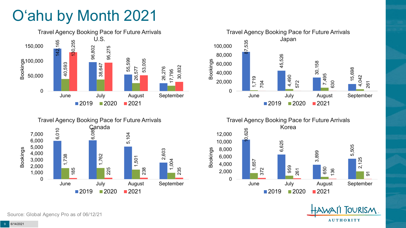# O'ahu by Month 2021



Canada<br>ଁ<br>ଡି

5,104







5,505

2,125

 $\overline{5}$ 

1,738 1,762 185 225  $\Omega$ 1,000 2,000 3,000 4,000 June July August September Bookings  $2019$  2020 2021

Source: Global Agency Pro as of 06/12/21

6,010

5,000 6,000 7,000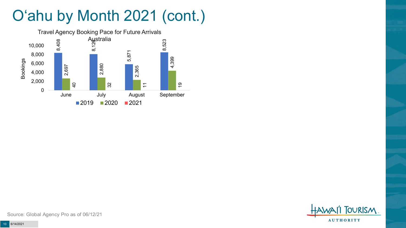# O'ahu by Month 2021 (cont.)



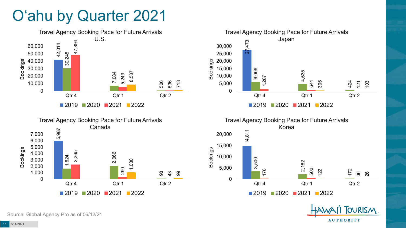### O'ahu by Quarter 2021









**TOURISM** 

**AUTHORITY** 

Source: Global Agency Pro as of 06/12/21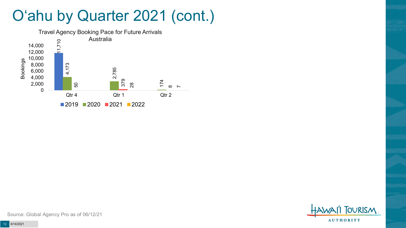### O'ahu by Quarter 2021 (cont.)



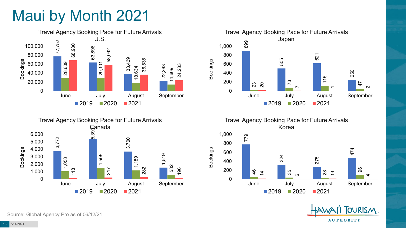## Maui by Month 2021







Travel Agency Booking Pace for Future Arrivals Korea

Bookings



**TOURISM AUTHORITY** 

Source: Global Agency Pro as of 06/12/21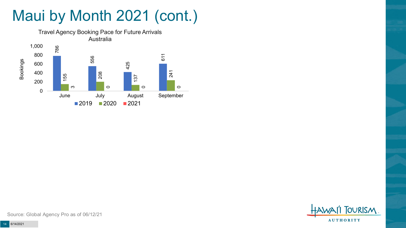# Maui by Month 2021 (cont.)



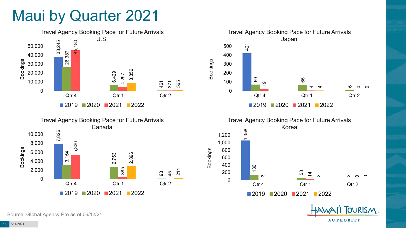### Maui by Quarter 2021









**OURISM** 

**AUTHORITY** 

Source: Global Agency Pro as of 06/12/21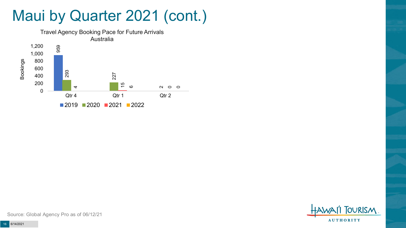### Maui by Quarter 2021 (cont.)



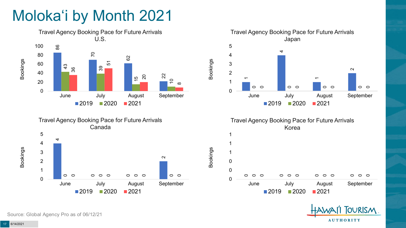# Moloka'i by Month 2021









Bookings



Source: Global Agency Pro as of 06/12/21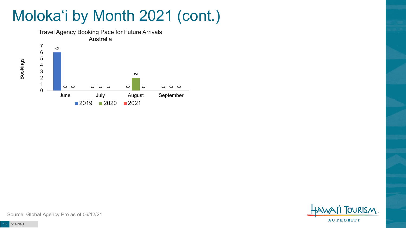# Moloka'i by Month 2021 (cont.)



**OURISM AUTHORITY** 

Source: Global Agency Pro as of 06/12/21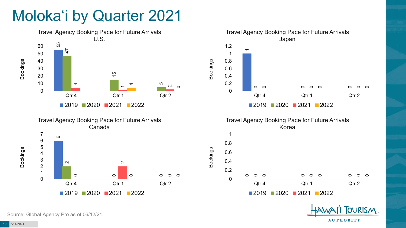## Moloka'i by Quarter 2021









Bookings





Source: Global Agency Pro as of 06/12/21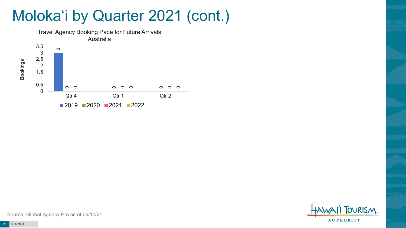### Moloka'i by Quarter 2021 (cont.)





Source: Global Agency Pro as of 06/12/21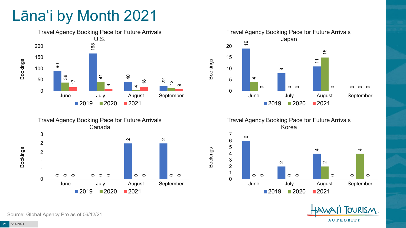# Lāna'i by Month 2021







Travel Agency Booking Pace for Future Arrivals Korea

Bookings





Source: Global Agency Pro as of 06/12/21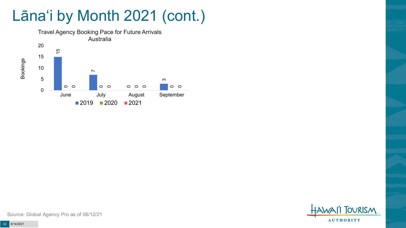## Lāna'i by Month 2021 (cont.)



**OURISM AUTHORITY**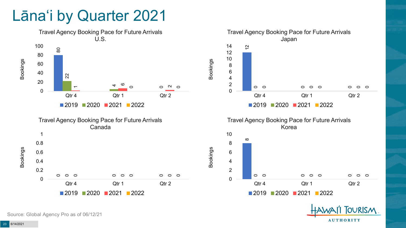#### Lāna'i by Quarter 2021



**OURISM** 

**AUTHORITY** 

Source: Global Agency Pro as of 06/12/21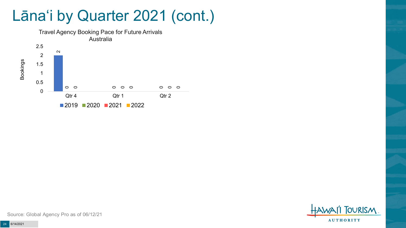### Lāna'i by Quarter 2021 (cont.)





Source: Global Agency Pro as of 06/12/21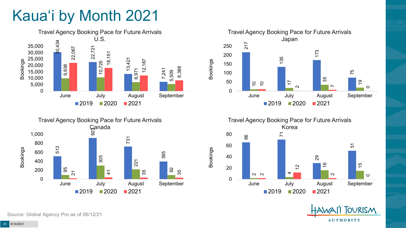# Kaua'i by Month 2021











Source: Global Agency Pro as of 06/12/21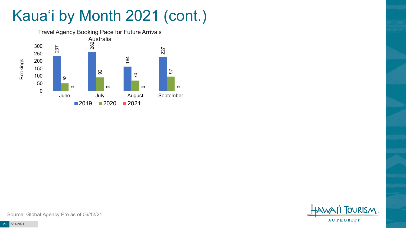# Kaua'i by Month 2021 (cont.)



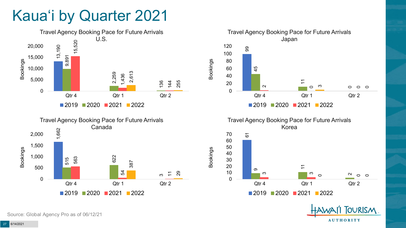### Kaua'i by Quarter 2021









Bookings



**OURISM** 

**AUTHORITY** 

Source: Global Agency Pro as of 06/12/21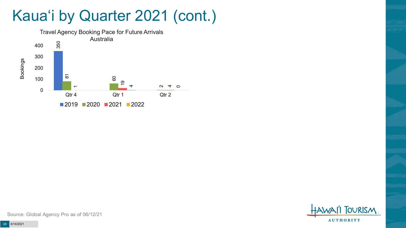### Kaua'i by Quarter 2021 (cont.)



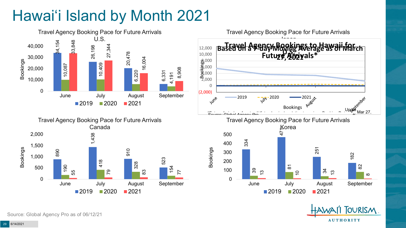# Hawai'i Island by Month 2021





Travel Agency Booking Pace for Future Arrivals





Source: Global Agency Pro as of 06/12/21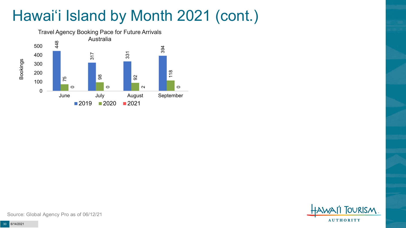# Hawai'i Island by Month 2021 (cont.)



**FOURISM AUTHORITY**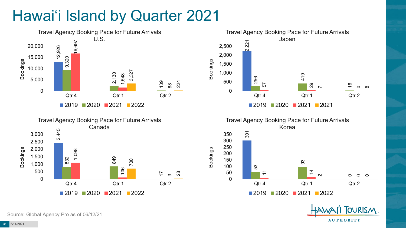# Hawai'i Island by Quarter 2021









**OURISM** 

**AUTHORITY** 

Source: Global Agency Pro as of 06/12/21